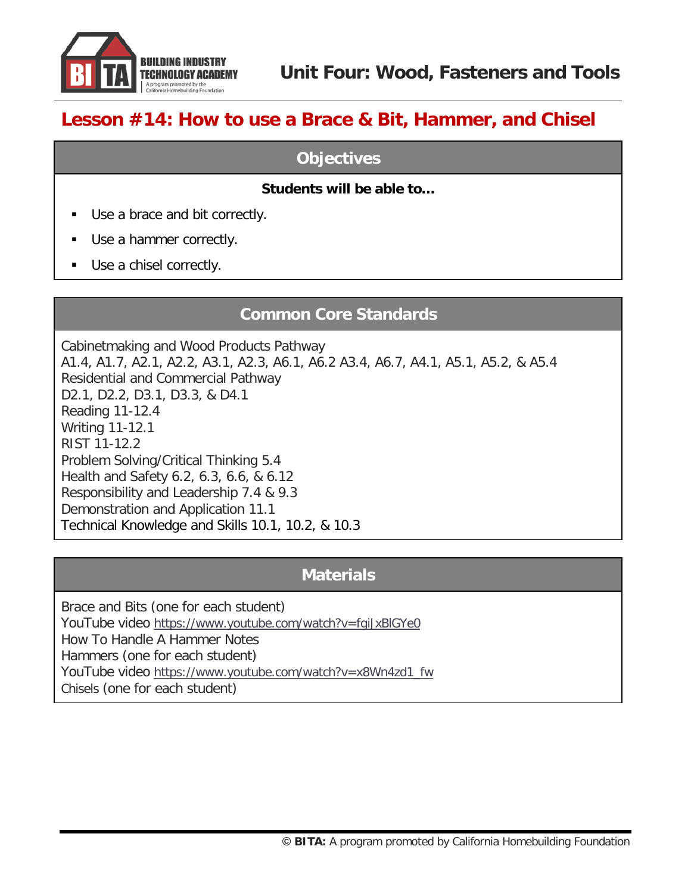

# **Lesson #14: How to use a Brace & Bit, Hammer, and Chisel**

### **Objectives**

#### **Students will be able to…**

- Use a brace and bit correctly.
- Use a hammer correctly.
- Use a chisel correctly.

## **Common Core Standards**

Cabinetmaking and Wood Products Pathway A1.4, A1.7, A2.1, A2.2, A3.1, A2.3, A6.1, A6.2 A3.4, A6.7, A4.1, A5.1, A5.2, & A5.4 Residential and Commercial Pathway D2.1, D2.2, D3.1, D3.3, & D4.1 Reading 11-12.4 Writing 11-12.1 RIST 11-12.2 Problem Solving/Critical Thinking 5.4 Health and Safety 6.2, 6.3, 6.6, & 6.12 Responsibility and Leadership 7.4 & 9.3 Demonstration and Application 11.1 Technical Knowledge and Skills 10.1, 10.2, & 10.3

## **Materials**

Brace and Bits (one for each student) YouTube video<https://www.youtube.com/watch?v=fgiJxBlGYe0> How To Handle A Hammer Notes Hammers (one for each student) YouTube video [https://www.youtube.com/watch?v=x8Wn4zd1\\_fw](https://www.youtube.com/watch?v=x8Wn4zd1_fw) Chisels (one for each student)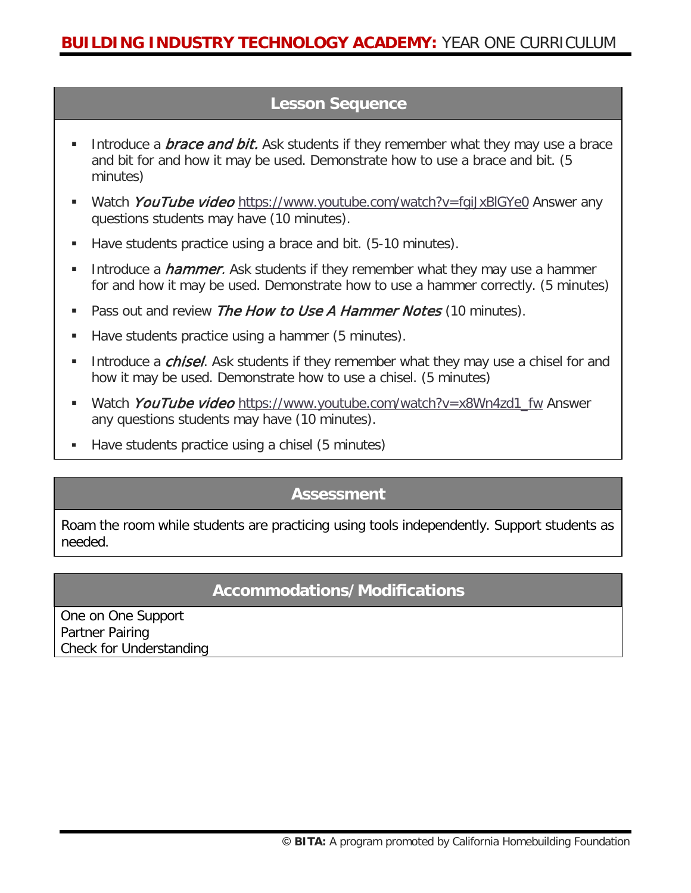## **Lesson Sequence**

- Introduce a *brace and bit.* Ask students if they remember what they may use a brace and bit for and how it may be used. Demonstrate how to use a brace and bit. (5 minutes)
- Watch *YouTube video* https://www.youtube.com/watch?v=fqiJxBlGYe0 Answer any questions students may have (10 minutes).
- Have students practice using a brace and bit. (5-10 minutes).
- Introduce a *hammer*. Ask students if they remember what they may use a hammer for and how it may be used. Demonstrate how to use a hammer correctly. (5 minutes)
- Pass out and review The How to Use A Hammer Notes (10 minutes).
- Have students practice using a hammer (5 minutes).
- Introduce a *chisel*. Ask students if they remember what they may use a chisel for and how it may be used. Demonstrate how to use a chisel. (5 minutes)
- Watch YouTube video [https://www.youtube.com/watch?v=x8Wn4zd1\\_fw](https://www.youtube.com/watch?v=x8Wn4zd1_fw) Answer any questions students may have (10 minutes).
- Have students practice using a chisel (5 minutes)

## **Assessment**

Roam the room while students are practicing using tools independently. Support students as needed.

## **Accommodations/Modifications**

One on One Support Partner Pairing Check for Understanding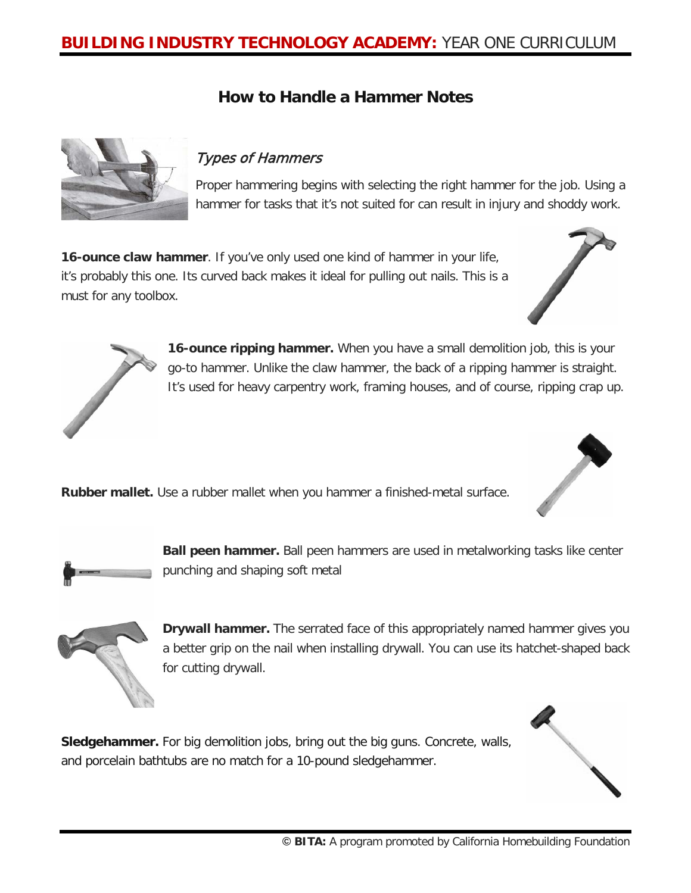## **BUILDING INDUSTRY TECHNOLOGY ACADEMY:** YEAR ONE CURRICULUM

## **How to Handle a Hammer Notes**



#### Types of Hammers

Proper hammering begins with selecting the right hammer for the job. Using a hammer for tasks that it's not suited for can result in injury and shoddy work.

**16-ounce claw hammer**. If you've only used one kind of hammer in your life, it's probably this one. Its curved back makes it ideal for pulling out nails. This is a must for any toolbox.





**16-ounce ripping hammer.** When you have a small demolition job, this is your go-to hammer. Unlike the claw hammer, the back of a ripping hammer is straight. It's used for heavy carpentry work, framing houses, and of course, ripping crap up.

**Rubber mallet.** Use a rubber mallet when you hammer a finished-metal surface.



**Ball peen hammer.** Ball peen hammers are used in metalworking tasks like center punching and shaping soft metal



**Drywall hammer.** The serrated face of this appropriately named hammer gives you a better grip on the nail when installing drywall. You can use its hatchet-shaped back for cutting drywall.

**Sledgehammer.** For big demolition jobs, bring out the big guns. Concrete, walls, and porcelain bathtubs are no match for a 10-pound sledgehammer.

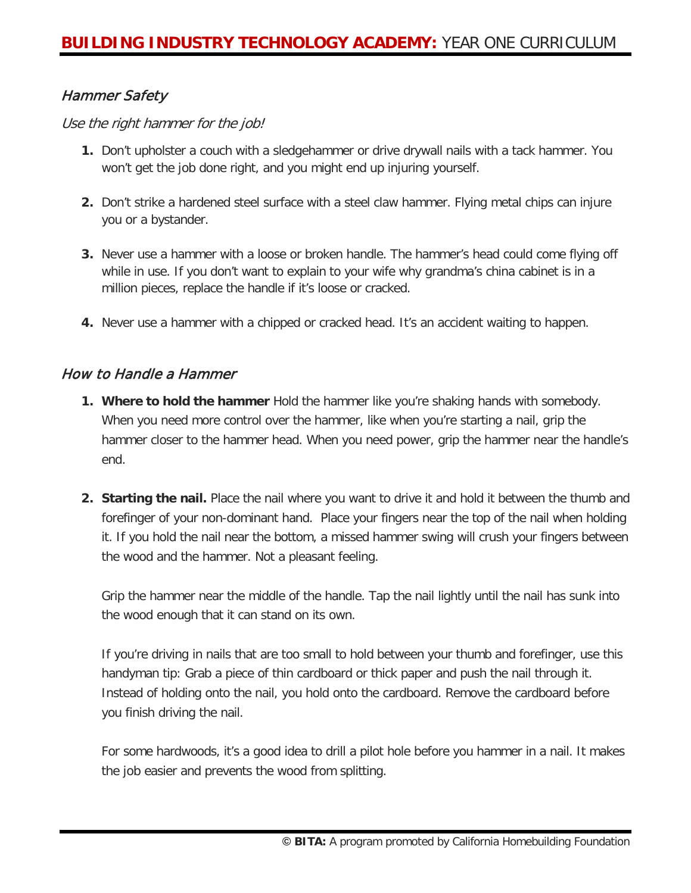### Hammer Safety

Use the right hammer for the job!

- **1.** Don't upholster a couch with a sledgehammer or drive drywall nails with a tack hammer. You won't get the job done right, and you might end up injuring yourself.
- **2.** Don't strike a hardened steel surface with a steel claw hammer. Flying metal chips can injure you or a bystander.
- **3.** Never use a hammer with a loose or broken handle. The hammer's head could come flying off while in use. If you don't want to explain to your wife why grandma's china cabinet is in a million pieces, replace the handle if it's loose or cracked.
- **4.** Never use a hammer with a chipped or cracked head. It's an accident waiting to happen.

#### How to Handle a Hammer

- **1. Where to hold the hammer** Hold the hammer like you're shaking hands with somebody. When you need more control over the hammer, like when you're starting a nail, grip the hammer closer to the hammer head. When you need power, grip the hammer near the handle's end.
- **2. Starting the nail.** Place the nail where you want to drive it and hold it between the thumb and forefinger of your non-dominant hand. Place your fingers near the top of the nail when holding it. If you hold the nail near the bottom, a missed hammer swing will crush your fingers between the wood and the hammer. Not a pleasant feeling.

Grip the hammer near the middle of the handle. Tap the nail lightly until the nail has sunk into the wood enough that it can stand on its own.

If you're driving in nails that are too small to hold between your thumb and forefinger, use this handyman tip: Grab a piece of thin cardboard or thick paper and push the nail through it. Instead of holding onto the nail, you hold onto the cardboard. Remove the cardboard before you finish driving the nail.

For some hardwoods, it's a good idea to drill a pilot hole before you hammer in a nail. It makes the job easier and prevents the wood from splitting.